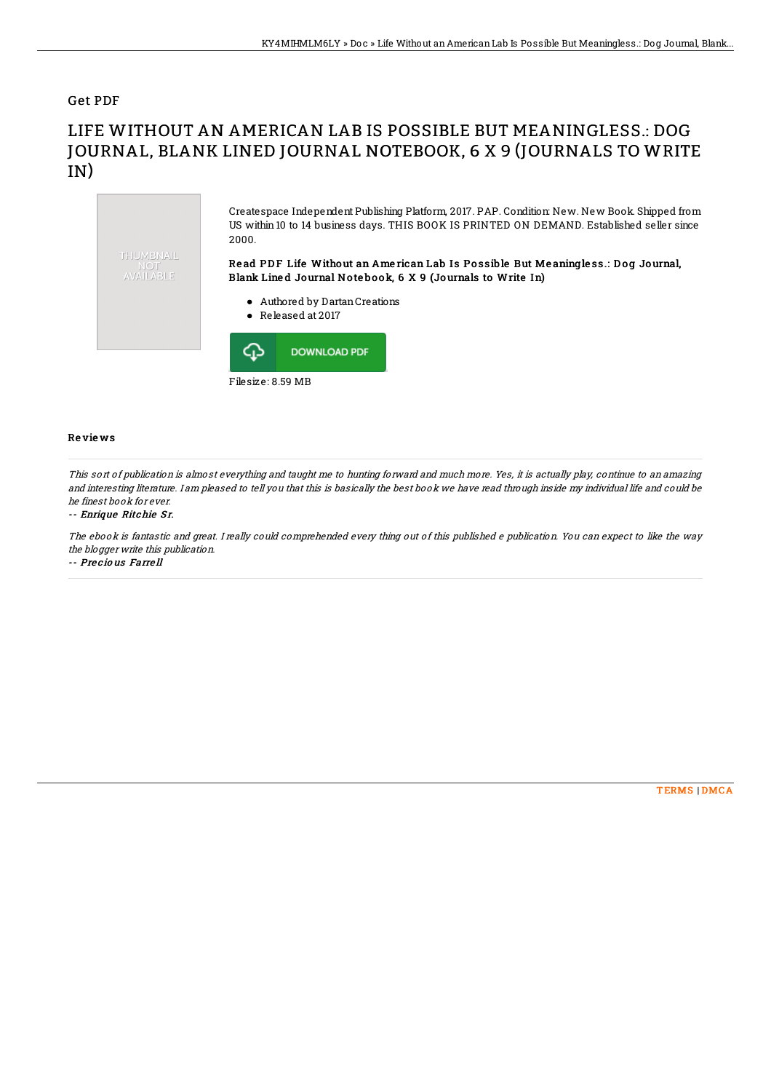### Get PDF

# LIFE WITHOUT AN AMERICAN LAB IS POSSIBLE BUT MEANINGLESS.: DOG JOURNAL, BLANK LINED JOURNAL NOTEBOOK, 6 X 9 (JOURNALS TO WRITE IN)



#### Re vie ws

This sort of publication is almost everything and taught me to hunting forward and much more. Yes, it is actually play, continue to an amazing and interesting literature. I am pleased to tell you that this is basically the best book we have read through inside my individual life and could be he finest book for ever.

#### -- Enrique Ritchie Sr.

The ebook is fantastic and great. I really could comprehended every thing out of this published <sup>e</sup> publication. You can expect to like the way the blogger write this publication. -- Pre c io us Farre ll